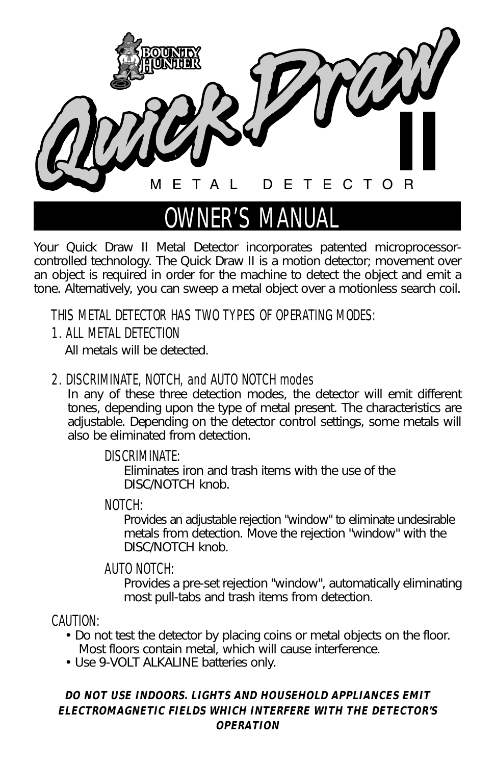

## OWNER'S MANUAL

*Your Quick Draw II Metal Detector incorporates patented microprocessorcontrolled technology. The Quick Draw II is a motion detector; movement over an object is required in order for the machine to detect the object and emit a tone. Alternatively, you can sweep a metal object over a motionless search coil.*

## THIS METAL DETECTOR HAS TWO TYPES OF OPERATING MODES:

#### 1. ALL METAL DETECTION

*All metals will be detected.* 

#### 2. DISCRIMINATE, NOTCH, and AUTO NOTCH modes

*In any of these three detection modes, the detector will emit different tones, depending upon the type of metal present. The characteristics are adjustable. Depending on the detector control settings, some metals will also be eliminated from detection.*

#### DISCRIMINATE:

*Eliminates iron and trash items with the use of the DISC/NOTCH knob.*

#### NOTCH:

*Provides an adjustable rejection "window" to eliminate undesirable metals from detection. Move the rejection "window" with the DISC/NOTCH knob.*

#### AUTO NOTCH:

*Provides a pre-set rejection "window", automatically eliminating most pull-tabs and trash items from detection.*

#### CAUTION:

- *Do not test the detector by placing coins or metal objects on the floor. Most floors contain metal, which will cause interference.*
- *Use 9-VOLT ALKALINE batteries only.*

#### *DO NOT USE INDOORS. LIGHTS AND HOUSEHOLD APPLIANCES EMIT ELECTROMAGNETIC FIELDS WHICH INTERFERE WITH THE DETECTOR'S OPERATION*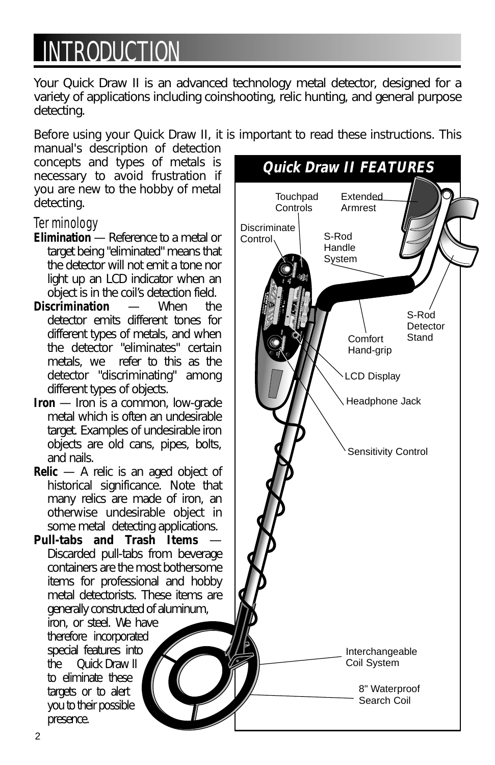## **INTRODUCTION**

*Your Quick Draw II is an advanced technology metal detector, designed for a variety of applications including coinshooting, relic hunting, and general purpose detecting.* 

*Before using your Quick Draw II, it is important to read these instructions. This*

*manual's description of detection concepts and types of metals is necessary to avoid frustration if you are new to the hobby of metal detecting.*

#### **Terminology**

- *Elimination Reference to a metal or target being "eliminated" means that the detector will not emit a tone nor light up an LCD indicator when an object is in the coil's detection field.*
- *Discrimination When the detector emits different tones for different types of metals, and when the detector "eliminates" certain metals, we refer to this as the detector "discriminating" among different types of objects.*
- *Iron Iron is a common, low-grade metal which is often an undesirable target. Examples of undesirable iron objects are old cans, pipes, bolts, and nails.*
- *Relic A relic is an aged object of historical significance. Note that many relics are made of iron, an otherwise undesirable object in some metal detecting applications.*

*Pull-tabs and Trash Items — Discarded pull-tabs from beverage containers are the most bothersome items for professional and hobby metal detectorists. These items are generally constructed of aluminum,*

*iron, or steel. We have therefore incorporated special features into the Quick Draw II to eliminate these targets or to alert you to their possible presence.*

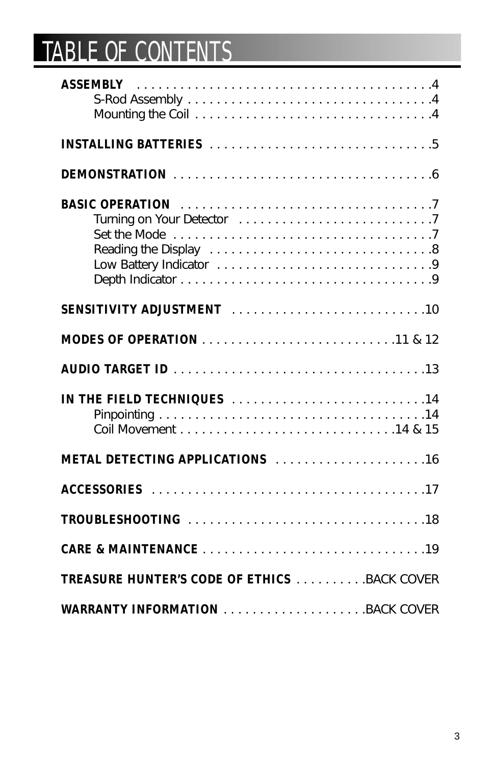# TABLE OF CONTENTS

| <b>SENSITIVITY ADJUSTMENT</b> 10                   |
|----------------------------------------------------|
|                                                    |
|                                                    |
| IN THE FIELD TECHNIQUES 14                         |
| <b>METAL DETECTING APPLICATIONS</b> 16             |
|                                                    |
|                                                    |
|                                                    |
| <b>TREASURE HUNTER'S CODE OF ETHICS BACK COVER</b> |
| <b>WARRANTY INFORMATION BACK COVER</b>             |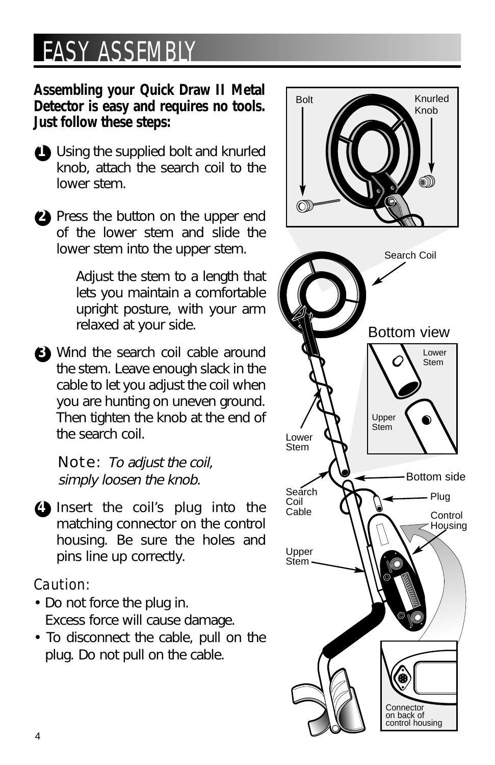## EASY ASSEMBLY

#### *Assembling your Quick Draw II Metal Detector is easy and requires no tools. Just follow these steps:*

- ●*1 Using the supplied bolt and knurled knob, attach the search coil to the lower stem.*
- ●*2 Press the button on the upper end of the lower stem and slide the lower stem into the upper stem.*

*Adjust the stem to a length that lets you maintain a comfortable upright posture, with your arm relaxed at your side.*

●*3 Wind the search coil cable around the stem. Leave enough slack in the cable to let you adjust the coil when you are hunting on uneven ground. Then tighten the knob at the end of the search coil.*

Note: *To adjust the coil, simply loosen the knob.*

●*4 Insert the coil's plug into the matching connector on the control housing. Be sure the holes and pins line up correctly.* 

### Caution:

- *Do not force the plug in. Excess force will cause damage.*
- *To disconnect the cable, pull on the plug. Do not pull on the cable.*

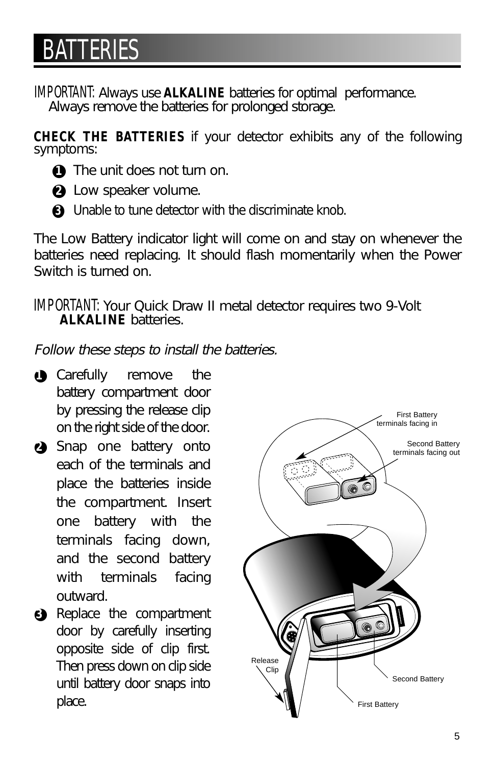## **BATTERIES**

IMPORTANT: *Always use ALKALINE batteries for optimal performance. Always remove the batteries for prolonged storage.*

*CHECK THE BATTERIES if your detector exhibits any of the following symptoms:*

- **1 1** The unit does not turn on.
- ●*2 Low speaker volume.*
- ●*3 Unable to tune detector with the discriminate knob.*

*The Low Battery indicator light will come on and stay on whenever the batteries need replacing. It should flash momentarily when the Power Switch is turned on.*

IMPORTANT: *Your Quick Draw II metal detector requires two 9-Volt ALKALINE batteries.*

*Follow these steps to install the batteries.*

- **1** *Carefully remove* the *battery compartment door by pressing the release clip on the right side of the door.*
- ●*2 Snap one battery onto each of the terminals and place the batteries inside the compartment. Insert one battery with the terminals facing down, and the second battery with terminals facing outward.*
- ●*3 Replace the compartment door by carefully inserting opposite side of clip first. Then press down on clip side until battery door snaps into*

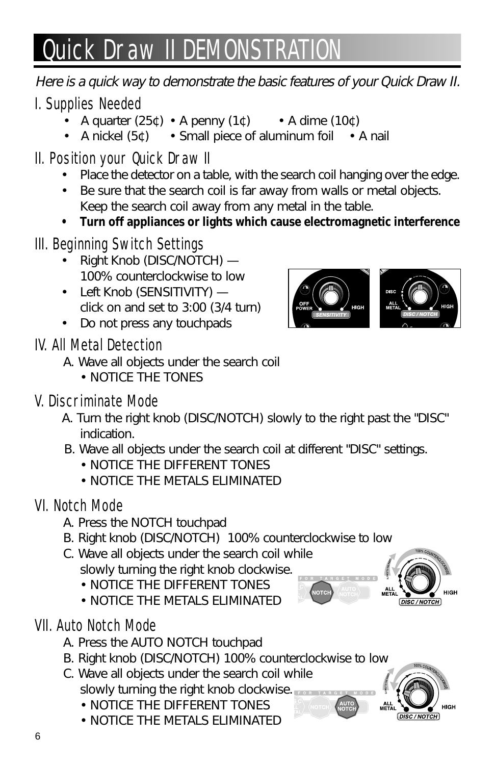# **Quick Draw II DEMONSTRATI**

*Here is a quick way to demonstrate the basic features of your Quick Draw II.*

### I. Supplies Needed

- *A quarter (25¢) A penny (1¢) A dime (10¢)*
- *A nickel (5¢) Small piece of aluminum foil A nail*

## II. Position your Quick Draw II

- *• Place the detector on a table, with the search coil hanging over the edge.*
- *• Be sure that the search coil is far away from walls or metal objects. Keep the search coil away from any metal in the table.*
- *• Turn off appliances or lights which cause electromagnetic interference*

### III. Beginning Switch Settings

- *• Right Knob (DISC/NOTCH) — 100% counterclockwise to low*
- *• Left Knob (SENSITIVITY) click on and set to 3:00 (3/4 turn)*
- *• Do not press any touchpads*

### IV. All Metal Detection

- *A. Wave all objects under the search coil*
	- *NOTICE THE TONES*

### V. Discriminate Mode

- *A. Turn the right knob (DISC/NOTCH) slowly to the right past the "DISC" indication.*
- *B. Wave all objects under the search coil at different "DISC" settings.*
	- *NOTICE THE DIFFERENT TONES*
	- *NOTICE THE METALS ELIMINATED*

## VI. Notch Mode

- *A. Press the NOTCH touchpad*
- *B. Right knob (DISC/NOTCH) 100% counterclockwise to low*
- *C. Wave all objects under the search coil while slowly turning the right knob clockwise.*
	- *NOTICE THE DIFFERENT TONES*
	- *NOTICE THE METALS ELIMINATED*

## VII. Auto Notch Mode

- *A. Press the AUTO NOTCH touchpad*
- *B. Right knob (DISC/NOTCH) 100% counterclockwise to low*
- *C. Wave all objects under the search coil while slowly turning the right knob clockwise.*
	- *NOTICE THE DIFFERENT TONES*
	- *NOTICE THE METALS ELIMINATED*





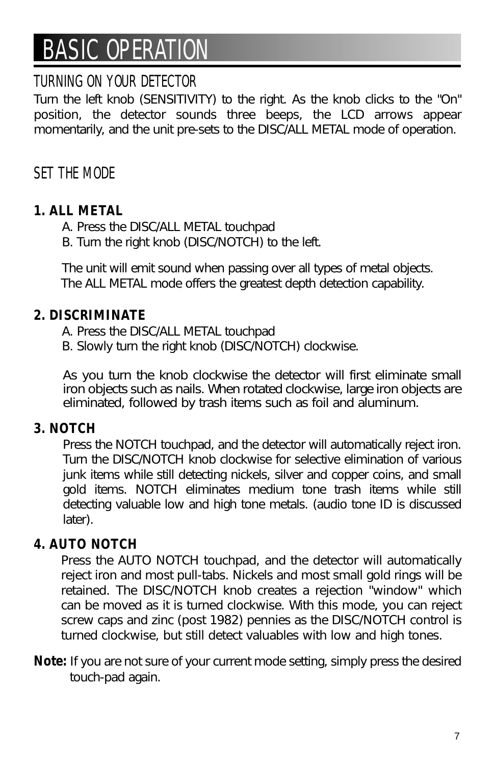## BASIC OPERATION

### TURNING ON YOUR DETECTOR

*Turn the left knob (SENSITIVITY) to the right. As the knob clicks to the "On" position, the detector sounds three beeps, the LCD arrows appear momentarily, and the unit pre-sets to the DISC/ALL METAL mode of operation.*

### SET THE MODE

#### *1. ALL METAL*

- *A. Press the DISC/ALL METAL touchpad*
- *B. Turn the right knob (DISC/NOTCH) to the left.*

*The unit will emit sound when passing over all types of metal objects. The ALL METAL mode offers the greatest depth detection capability.*

#### *2. DISCRIMINATE*

*A. Press the DISC/ALL METAL touchpad* 

*B. Slowly turn the right knob (DISC/NOTCH) clockwise.*

*As you turn the knob clockwise the detector will first eliminate small iron objects such as nails. When rotated clockwise, large iron objects are eliminated, followed by trash items such as foil and aluminum.*

#### *3. NOTCH*

*Press the NOTCH touchpad, and the detector will automatically reject iron. Turn the DISC/NOTCH knob clockwise for selective elimination of various junk items while still detecting nickels, silver and copper coins, and small gold items. NOTCH eliminates medium tone trash items while still detecting valuable low and high tone metals. (audio tone ID is discussed later).*

#### *4. AUTO NOTCH*

*Press the AUTO NOTCH touchpad, and the detector will automatically reject iron and most pull-tabs. Nickels and most small gold rings will be retained. The DISC/NOTCH knob creates a rejection "window" which can be moved as it is turned clockwise. With this mode, you can reject screw caps and zinc (post 1982) pennies as the DISC/NOTCH control is turned clockwise, but still detect valuables with low and high tones.* 

*Note: If you are not sure of your current mode setting, simply press the desired touch-pad again.*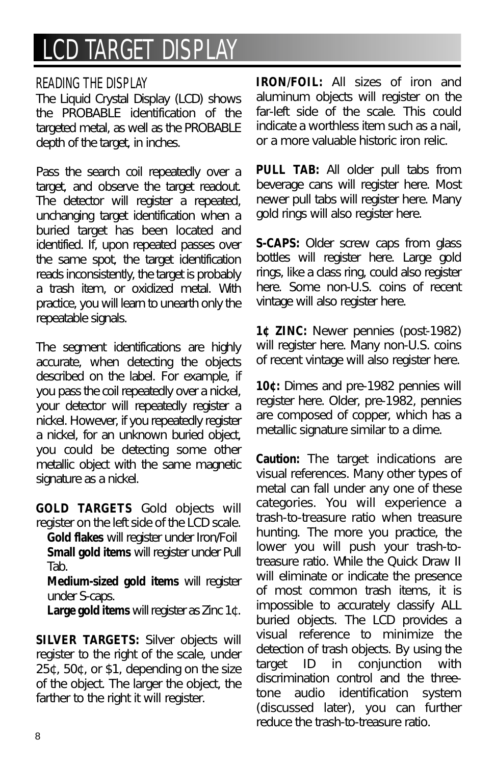## LCD TARGET DISPLAY

#### READING THE DISPLAY

*The Liquid Crystal Display (LCD) shows the PROBABLE identification of the targeted metal, as well as the PROBABLE depth of the target, in inches.*

*Pass the search coil repeatedly over a target, and observe the target readout. The detector will register a repeated, unchanging target identification when a buried target has been located and identified. If, upon repeated passes over the same spot, the target identification reads inconsistently, the target is probably a trash item, or oxidized metal. With practice, you will learn to unearth only the repeatable signals.*

*The segment identifications are highly accurate, when detecting the objects described on the label. For example, if you pass the coil repeatedly over a nickel, your detector will repeatedly register a nickel. However, if you repeatedly register a nickel, for an unknown buried object, you could be detecting some other metallic object with the same magnetic signature as a nickel.*

*GOLD TARGETS Gold objects will register on the left side of the LCD scale.*

*Gold flakes will register under Iron/Foil Small gold items will register under Pull Tab.*

*Medium-sized gold items will register under S-caps.*

*Large gold items will register as Zinc 1¢.*

*SILVER TARGETS: Silver objects will register to the right of the scale, under 25¢, 50¢, or \$1, depending on the size of the object. The larger the object, the farther to the right it will register.*

*IRON/FOIL: All sizes of iron and aluminum objects will register on the far-left side of the scale. This could indicate a worthless item such as a nail, or a more valuable historic iron relic.*

*PULL TAB: All older pull tabs from beverage cans will register here. Most newer pull tabs will register here. Many gold rings will also register here.*

*S-CAPS: Older screw caps from glass bottles will register here. Large gold rings, like a class ring, could also register here. Some non-U.S. coins of recent vintage will also register here.*

*1¢ ZINC: Newer pennies (post-1982) will register here. Many non-U.S. coins of recent vintage will also register here.*

*10¢: Dimes and pre-1982 pennies will register here. Older, pre-1982, pennies are composed of copper, which has a metallic signature similar to a dime.*

*Caution: The target indications are visual references. Many other types of metal can fall under any one of these categories. You will experience a trash-to-treasure ratio when treasure hunting. The more you practice, the lower you will push your trash-totreasure ratio. While the Quick Draw II will eliminate or indicate the presence of most common trash items, it is impossible to accurately classify ALL buried objects. The LCD provides a visual reference to minimize the detection of trash objects. By using the target ID in conjunction with discrimination control and the threetone audio identification system (discussed later), you can further reduce the trash-to-treasure ratio.*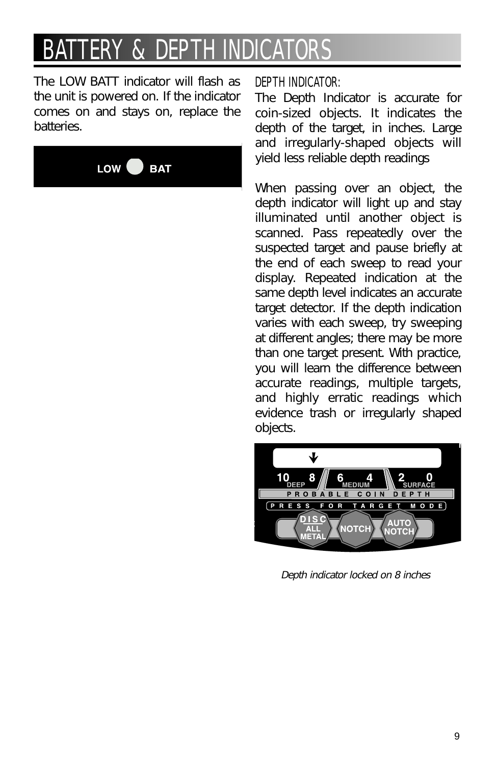## FRY & DFPT

*The LOW BATT indicator will flash as the unit is powered on. If the indicator comes on and stays on, replace the batteries.*



#### DEPTH INDICATOR:

*The Depth Indicator is accurate for coin-sized objects. It indicates the depth of the target, in inches. Large and irregularly-shaped objects will yield less reliable depth readings*

*When passing over an object, the depth indicator will light up and stay illuminated until another object is scanned. Pass repeatedly over the suspected target and pause briefly at the end of each sweep to read your display. Repeated indication at the same depth level indicates an accurate target detector. If the depth indication varies with each sweep, try sweeping at different angles; there may be more than one target present. With practice, you will learn the difference between accurate readings, multiple targets, and highly erratic readings which evidence trash or irregularly shaped objects.*



*Depth indicator locked on 8 inches*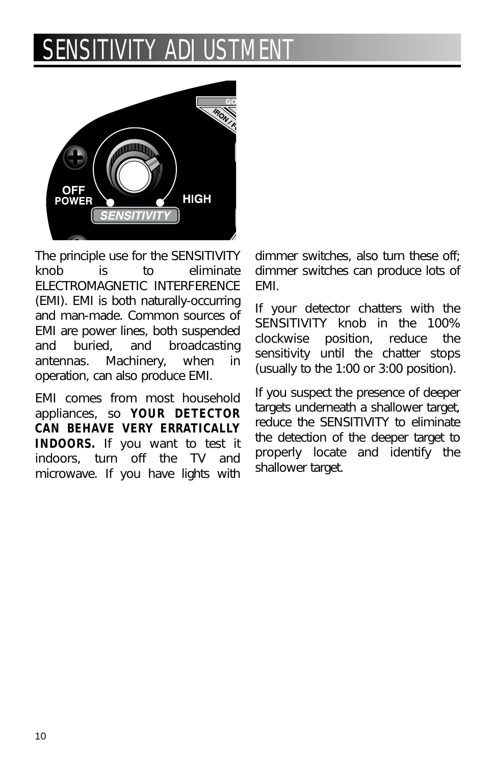## SENSITIVITY ADJUS



*The principle use for the SENSITIVITY knob is to eliminate ELECTROMAGNETIC INTERFERENCE (EMI). EMI is both naturally-occurring and man-made. Common sources of EMI are power lines, both suspended and buried, and broadcasting antennas. Machinery, when in operation, can also produce EMI.*

*EMI comes from most household appliances, so YOUR DETECTOR CAN BEHAVE VERY ERRATICALLY INDOORS. If you want to test it indoors, turn off the TV and microwave. If you have lights with*

*dimmer switches, also turn these off; dimmer switches can produce lots of EMI.*

*If your detector chatters with the SENSITIVITY knob in the 100% clockwise position, reduce the sensitivity until the chatter stops (usually to the 1:00 or 3:00 position).*

*If you suspect the presence of deeper targets underneath a shallower target, reduce the SENSITIVITY to eliminate the detection of the deeper target to properly locate and identify the shallower target.*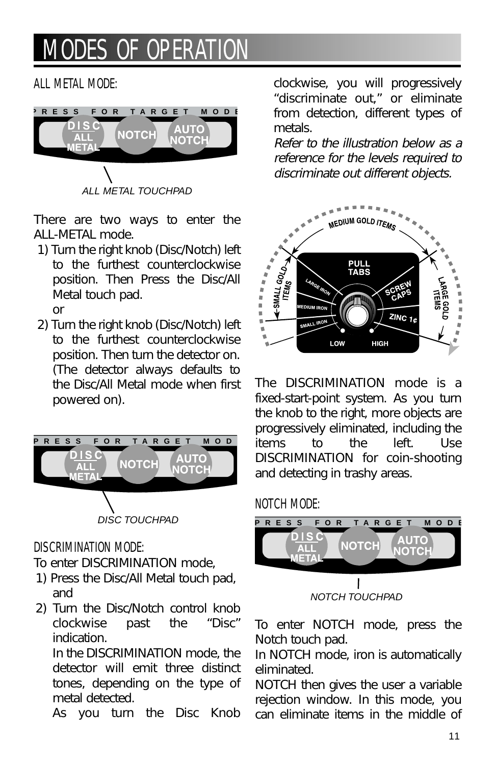## **MODES OF OPERAT**

#### ALL METAL MODE:



*There are two ways to enter the ALL-METAL mode.*

*1) Turn the right knob (Disc/Notch) left to the furthest counterclockwise position. Then Press the Disc/All Metal touch pad.*

*or*

*2) Turn the right knob (Disc/Notch) left to the furthest counterclockwise position. Then turn the detector on. (The detector always defaults to the Disc/All Metal mode when first powered on).* 



#### DISCRIMINATION MODE:

- *To enter DISCRIMINATION mode,*
- *1) Press the Disc/All Metal touch pad, and*
- *2) Turn the Disc/Notch control knob clockwise past the "Disc" indication.*

*In the DISCRIMINATION mode, the detector will emit three distinct tones, depending on the type of metal detected.*

*As you turn the Disc Knob*

*clockwise, you will progressively "discriminate out," or eliminate from detection, different types of metals.*

*Refer to the illustration below as a reference for the levels required to discriminate out different objects.*



*The DISCRIMINATION mode is a fixed-start-point system. As you turn the knob to the right, more objects are progressively eliminated, including the items to the left. Use DISCRIMINATION for coin-shooting and detecting in trashy areas.*

#### NOTCH MODE:



*To enter NOTCH mode, press the Notch touch pad.*

*In NOTCH mode, iron is automatically eliminated.*

*NOTCH then gives the user a variable rejection window. In this mode, you can eliminate items in the middle of*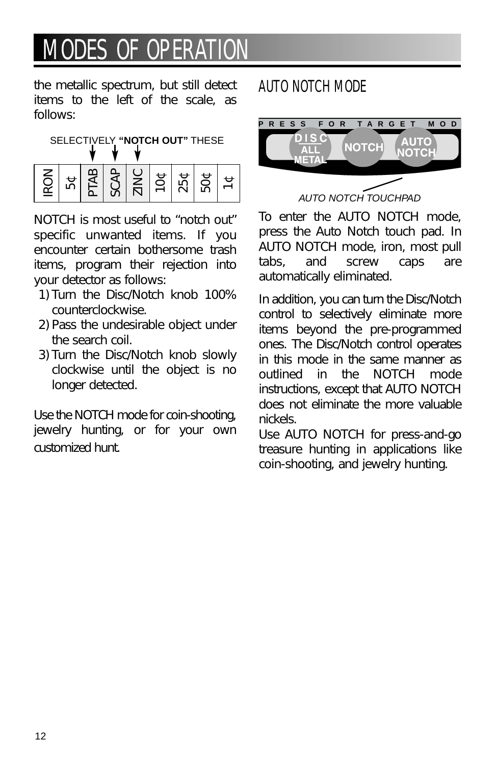## **MODES OF OPERAT**

*the metallic spectrum, but still detect items to the left of the scale, as follows:*



*NOTCH is most useful to "notch out" specific unwanted items. If you encounter certain bothersome trash items, program their rejection into your detector as follows:*

- *1) Turn the Disc/Notch knob 100% counterclockwise.*
- *2) Pass the undesirable object under the search coil.*
- *3) Turn the Disc/Notch knob slowly clockwise until the object is no longer detected.*

*Use the NOTCH mode for coin-shooting, jewelry hunting, or for your own customized hunt.*

### AUTO NOTCH MODE



AUTO NOTCH TOUCHPAD

*To enter the AUTO NOTCH mode, press the Auto Notch touch pad. In AUTO NOTCH mode, iron, most pull tabs, and screw caps are automatically eliminated.* 

*In addition, you can turn the Disc/Notch control to selectively eliminate more items beyond the pre-programmed ones. The Disc/Notch control operates in this mode in the same manner as outlined in the NOTCH mode instructions, except that AUTO NOTCH does not eliminate the more valuable nickels.*

*Use AUTO NOTCH for press-and-go treasure hunting in applications like coin-shooting, and jewelry hunting.*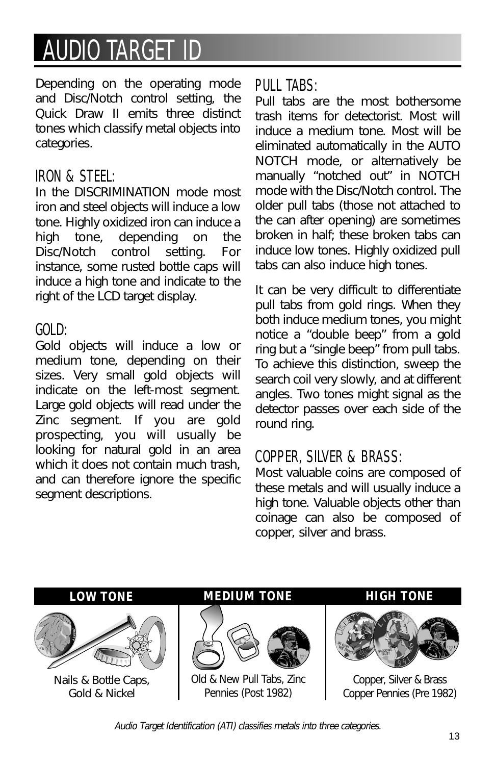## **AUDIO TARGET**

*Depending on the operating mode and Disc/Notch control setting, the Quick Draw II emits three distinct tones which classify metal objects into categories.*

#### IRON & STEEL:

*In the DISCRIMINATION mode most iron and steel objects will induce a low tone. Highly oxidized iron can induce a high tone, depending on the Disc/Notch control setting. For instance, some rusted bottle caps will induce a high tone and indicate to the right of the LCD target display.*

#### GOLD:

*Gold objects will induce a low or medium tone, depending on their sizes. Very small gold objects will indicate on the left-most segment. Large gold objects will read under the Zinc segment. If you are gold prospecting, you will usually be looking for natural gold in an area which it does not contain much trash, and can therefore ignore the specific segment descriptions.*

#### PULL TABS:

*Pull tabs are the most bothersome trash items for detectorist. Most will induce a medium tone. Most will be eliminated automatically in the AUTO NOTCH mode, or alternatively be manually "notched out" in NOTCH mode with the Disc/Notch control. The older pull tabs (those not attached to the can after opening) are sometimes broken in half; these broken tabs can induce low tones. Highly oxidized pull tabs can also induce high tones.*

*It can be very difficult to differentiate pull tabs from gold rings. When they both induce medium tones, you might notice a "double beep" from a gold ring but a "single beep" from pull tabs. To achieve this distinction, sweep the search coil very slowly, and at different angles. Two tones might signal as the detector passes over each side of the round ring.*

### COPPER, SILVER & BRASS:

*Most valuable coins are composed of these metals and will usually induce a high tone. Valuable objects other than coinage can also be composed of copper, silver and brass.*

*LOW TONE*



*Nails & Bottle Caps, Gold & Nickel*





*Old & New Pull Tabs, Zinc Pennies (Post 1982)*

#### *HIGH TONE*



*Copper, Silver & Brass Copper Pennies (Pre 1982)*

*Audio Target Identification (ATI) classifies metals into three categories.*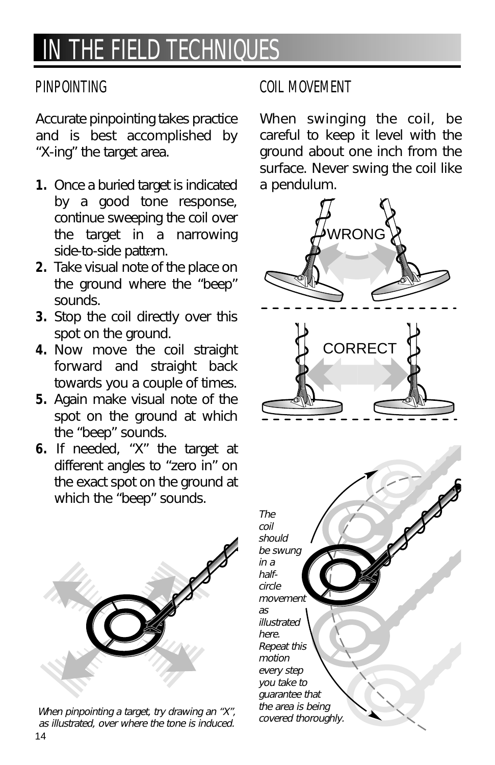## IN THE FIELD TECHNIQUES

#### PINPOINTING

*Accurate pinpointing takes practice and is best accomplished by "X-ing" the target area.* 

- *1. Once a buried target is indicated by a good tone response, continue sweeping the coil over the target in a narrowing side-to-side pattern.*
- *2. Take visual note of the place on the ground where the "beep" sounds.*
- *3. Stop the coil directly over this spot on the ground.*
- *4. Now move the coil straight forward and straight back towards you a couple of times.*
- *5. Again make visual note of the spot on the ground at which the "beep" sounds.*
- *6. If needed, "X" the target at different angles to "zero in" on the exact spot on the ground at which the "beep" sounds.*



14 *When pinpointing a target, try drawing an "X", as illustrated, over where the tone is induced.*

### COIL MOVEMENT

*When swinging the coil, be careful to keep it level with the ground about one inch from the surface. Never swing the coil like a pendulum.*

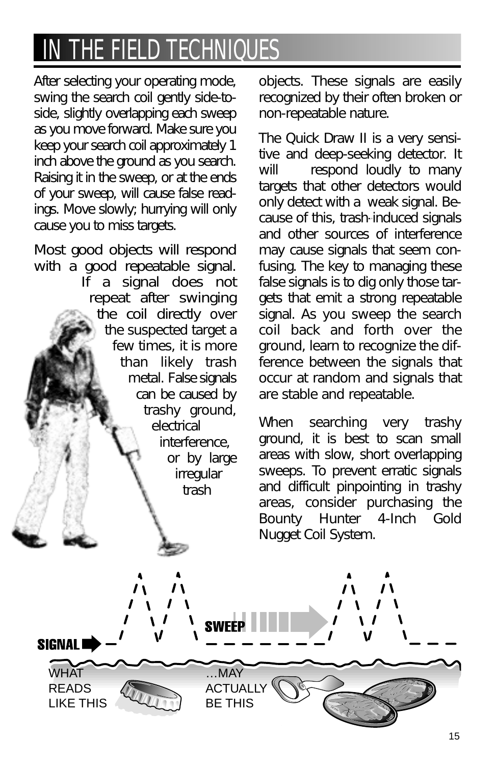## IN THE FIELD TECHNIQUES

*After selecting your operating mode, swing the search coil gently side-toside, slightly overlapping each sweep as you move forward. Make sure you keep your search coil approximately 1 inch above the ground as you search. Raising it in the sweep, or at the ends of your sweep, will cause false readings. Move slowly; hurrying will only cause you to miss targets.*

*Most good objects will respond with a good repeatable signal. If a signal does not repeat after swinging the coil directly over the suspected target a few times, it is more than likely trash metal. False signals can be caused by trashy ground, electrical interference, or by large irregular trash*

*objects. These signals are easily recognized by their often broken or non-repeatable nature.*

*The Quick Draw II is a very sensitive and deep-seeking detector. It will respond loudly to many targets that other detectors would only detect with a weak signal. Because of this, trash-induced signals and other sources of interference may cause signals that seem confusing. The key to managing these false signals is to dig only those targets that emit a strong repeatable signal. As you sweep the search coil back and forth over the ground, learn to recognize the difference between the signals that occur at random and signals that are stable and repeatable.* 

*When searching very trashy ground, it is best to scan small areas with slow, short overlapping sweeps. To prevent erratic signals and difficult pinpointing in trashy areas, consider purchasing the Bounty Hunter 4-Inch Gold Nugget Coil System.*

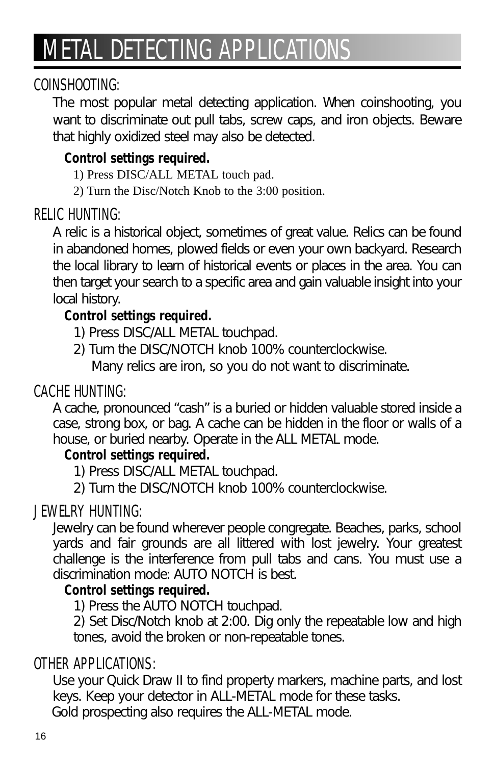## METAL DETECTING APPLICATIONS

### COINSHOOTING:

*The most popular metal detecting application. When coinshooting, you want to discriminate out pull tabs, screw caps, and iron objects. Beware that highly oxidized steel may also be detected.*

### *Control settings required.*

- 1) Press DISC/ALL METAL touch pad.
- 2) Turn the Disc/Notch Knob to the 3:00 position.

### RELIC HUNTING:

*A relic is a historical object, sometimes of great value. Relics can be found in abandoned homes, plowed fields or even your own backyard. Research the local library to learn of historical events or places in the area. You can then target your search to a specific area and gain valuable insight into your local history.*

### *Control settings required.*

- *1) Press DISC/ALL METAL touchpad.*
- *2) Turn the DISC/NOTCH knob 100% counterclockwise.*

*Many relics are iron, so you do not want to discriminate.*

### CACHE HUNTING:

*A cache, pronounced "cash" is a buried or hidden valuable stored inside a case, strong box, or bag. A cache can be hidden in the floor or walls of a house, or buried nearby. Operate in the ALL METAL mode.*

#### *Control settings required.*

- *1) Press DISC/ALL METAL touchpad.*
- *2) Turn the DISC/NOTCH knob 100% counterclockwise.*

### JEWELRY HUNTING:

*Jewelry can be found wherever people congregate. Beaches, parks, school yards and fair grounds are all littered with lost jewelry. Your greatest challenge is the interference from pull tabs and cans. You must use a discrimination mode: AUTO NOTCH is best.*

#### *Control settings required.*

*1) Press the AUTO NOTCH touchpad.*

*2) Set Disc/Notch knob at 2:00. Dig only the repeatable low and high tones, avoid the broken or non-repeatable tones.*

### OTHER APPLICATIONS:

*Use your Quick Draw II to find property markers, machine parts, and lost keys. Keep your detector in ALL-METAL mode for these tasks. Gold prospecting also requires the ALL-METAL mode.*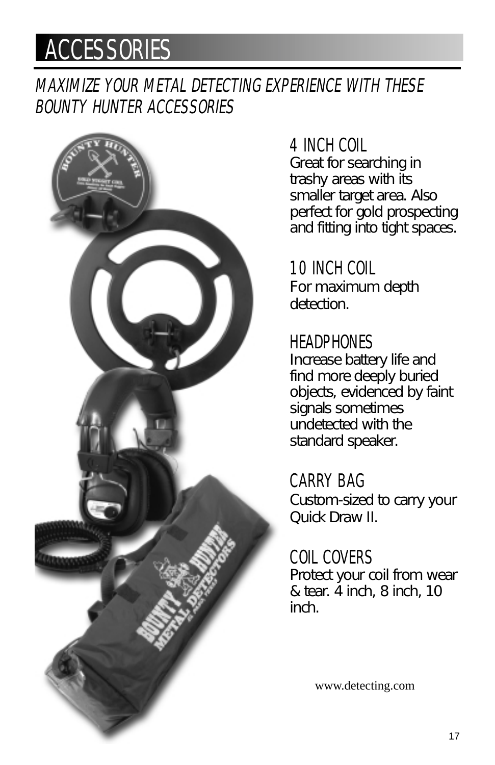## **ACCESSORIES**

## MAXIMIZE YOUR METAL DETECTING EXPERIENCE WITH THESE BOUNTY HUNTER ACCESSORIES



## 4 INCH COIL

*Great for searching in trashy areas with its smaller target area. Also perfect for gold prospecting and fitting into tight spaces.*

10 INCH COIL *For maximum depth detection.*

## **HEADPHONES**

*Increase battery life and find more deeply buried objects, evidenced by faint signals sometimes undetected with the standard speaker.*

CARRY BAG *Custom-sized to carry your Quick Draw II.*

COIL COVERS *Protect your coil from wear & tear. 4 inch, 8 inch, 10 inch.*

www.detecting.com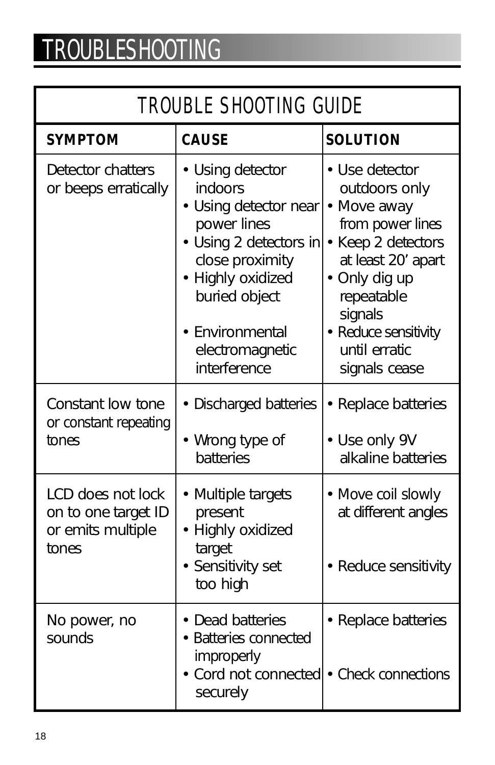# TROUBLESHOOTING

## TROUBLE SHOOTING GUIDE

| <b>SYMPTOM</b>                                                         | <b>CAUSE</b>                                                                                                                                                                                               | <b>SOLUTION</b>                                                                                                                                                                                                    |
|------------------------------------------------------------------------|------------------------------------------------------------------------------------------------------------------------------------------------------------------------------------------------------------|--------------------------------------------------------------------------------------------------------------------------------------------------------------------------------------------------------------------|
| Detector chatters<br>or beeps erratically                              | • Using detector<br>indoors<br>· Using detector near<br>power lines<br>• Using 2 detectors in<br>close proximity<br>• Highly oxidized<br>buried object<br>Environmental<br>electromagnetic<br>interference | • Use detector<br>outdoors only<br>• Move away<br>from power lines<br>• Keep 2 detectors<br>at least 20' apart<br>• Only dig up<br>repeatable<br>signals<br>• Reduce sensitivity<br>until erratic<br>signals cease |
| Constant low tone<br>or constant repeating<br>tones                    | • Discharged batteries<br>• Wrong type of<br>batteries                                                                                                                                                     | • Replace batteries<br>• Use only 9V<br>alkaline batteries                                                                                                                                                         |
| LCD does not lock<br>on to one target ID<br>or emits multiple<br>tones | • Multiple targets<br>present<br>• Highly oxidized<br>target<br>• Sensitivity set<br>too high                                                                                                              | • Move coil slowly<br>at different angles<br>• Reduce sensitivity                                                                                                                                                  |
| No power, no<br>sounds                                                 | • Dead batteries<br>• Batteries connected<br>improperly<br>• Cord not connected • Check connections<br>securely                                                                                            | • Replace batteries                                                                                                                                                                                                |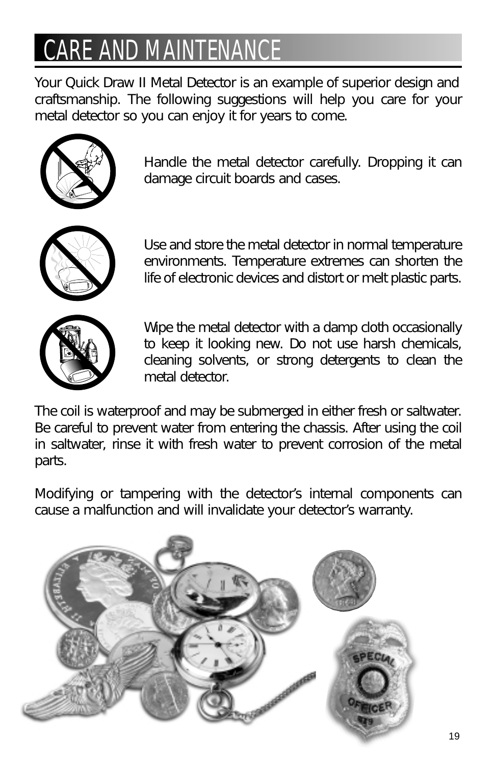# **CARE AND MAINTENAL**

*Your Quick Draw II Metal Detector is an example of superior design and craftsmanship. The following suggestions will help you care for your metal detector so you can enjoy it for years to come.*



*Handle the metal detector carefully. Dropping it can damage circuit boards and cases.*



*Use and store the metal detector in normal temperature environments. Temperature extremes can shorten the life of electronic devices and distort or melt plastic parts.*



*Wipe the metal detector with a damp cloth occasionally to keep it looking new. Do not use harsh chemicals, cleaning solvents, or strong detergents to clean the metal detector.*

*The coil is waterproof and may be submerged in either fresh or saltwater. Be careful to prevent water from entering the chassis. After using the coil in saltwater, rinse it with fresh water to prevent corrosion of the metal parts.*

*Modifying or tampering with the detector's internal components can cause a malfunction and will invalidate your detector's warranty.*